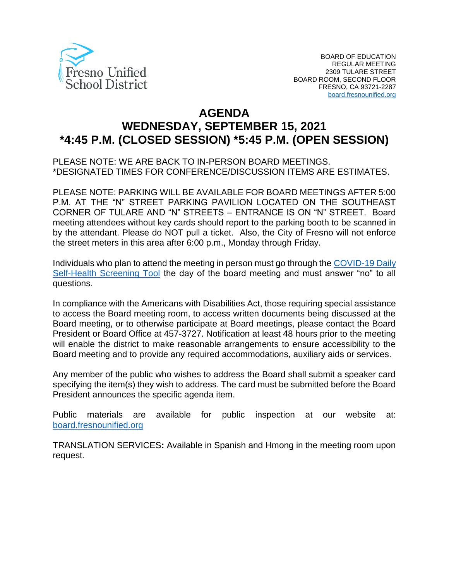

# **AGENDA WEDNESDAY, SEPTEMBER 15, 2021 \*4:45 P.M. (CLOSED SESSION) \*5:45 P.M. (OPEN SESSION)**

PLEASE NOTE: WE ARE BACK TO IN-PERSON BOARD MEETINGS. \*DESIGNATED TIMES FOR CONFERENCE/DISCUSSION ITEMS ARE ESTIMATES.

PLEASE NOTE: PARKING WILL BE AVAILABLE FOR BOARD MEETINGS AFTER 5:00 P.M. AT THE "N" STREET PARKING PAVILION LOCATED ON THE SOUTHEAST CORNER OF TULARE AND "N" STREETS – ENTRANCE IS ON "N" STREET. Board meeting attendees without key cards should report to the parking booth to be scanned in by the attendant. Please do NOT pull a ticket. Also, the City of Fresno will not enforce the street meters in this area after 6:00 p.m., Monday through Friday.

Individuals who plan to attend the meeting in person must go through the [COVID-19 Daily](https://www.fresnounified.org/covid19/)  [Self-Health Screening Tool](https://www.fresnounified.org/covid19/) the day of the board meeting and must answer "no" to all questions.

In compliance with the Americans with Disabilities Act, those requiring special assistance to access the Board meeting room, to access written documents being discussed at the Board meeting, or to otherwise participate at Board meetings, please contact the Board President or Board Office at 457-3727. Notification at least 48 hours prior to the meeting will enable the district to make reasonable arrangements to ensure accessibility to the Board meeting and to provide any required accommodations, auxiliary aids or services.

Any member of the public who wishes to address the Board shall submit a speaker card specifying the item(s) they wish to address. The card must be submitted before the Board President announces the specific agenda item.

Public materials are available for public inspection at our website at: [board.fresnounified.org](https://board.fresnounified.org/)

TRANSLATION SERVICES**:** Available in Spanish and Hmong in the meeting room upon request.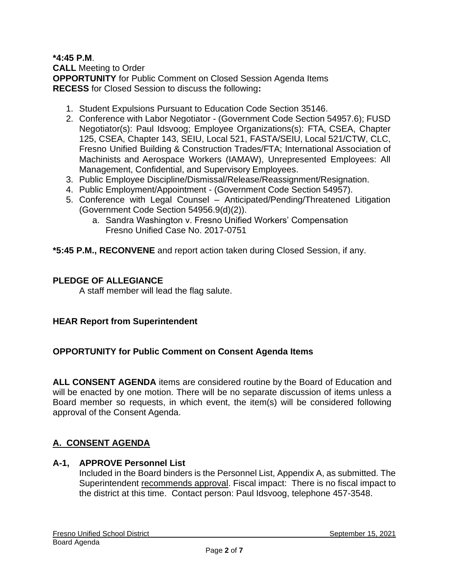## **\*4:45 P.M**.

**CALL** Meeting to Order **OPPORTUNITY** for Public Comment on Closed Session Agenda Items **RECESS** for Closed Session to discuss the following**:**

- 1. Student Expulsions Pursuant to Education Code Section 35146.
- 2. Conference with Labor Negotiator (Government Code Section 54957.6); FUSD Negotiator(s): Paul Idsvoog; Employee Organizations(s): FTA, CSEA, Chapter 125, CSEA, Chapter 143, SEIU, Local 521, FASTA/SEIU, Local 521/CTW, CLC, Fresno Unified Building & Construction Trades/FTA; International Association of Machinists and Aerospace Workers (IAMAW), Unrepresented Employees: All Management, Confidential, and Supervisory Employees.
- 3. Public Employee Discipline/Dismissal/Release/Reassignment/Resignation.
- 4. Public Employment/Appointment (Government Code Section 54957).
- 5. Conference with Legal Counsel Anticipated/Pending/Threatened Litigation (Government Code Section 54956.9(d)(2)).
	- a. Sandra Washington v. Fresno Unified Workers' Compensation Fresno Unified Case No. 2017-0751

**\*5:45 P.M., RECONVENE** and report action taken during Closed Session, if any.

## **PLEDGE OF ALLEGIANCE**

A staff member will lead the flag salute.

#### **HEAR Report from Superintendent**

#### **OPPORTUNITY for Public Comment on Consent Agenda Items**

**ALL CONSENT AGENDA** items are considered routine by the Board of Education and will be enacted by one motion. There will be no separate discussion of items unless a Board member so requests, in which event, the item(s) will be considered following approval of the Consent Agenda.

# **A. CONSENT AGENDA**

## **A-1, APPROVE Personnel List**

Included in the Board binders is the Personnel List, Appendix A, as submitted. The Superintendent recommends approval. Fiscal impact: There is no fiscal impact to the district at this time. Contact person: Paul Idsvoog, telephone 457-3548.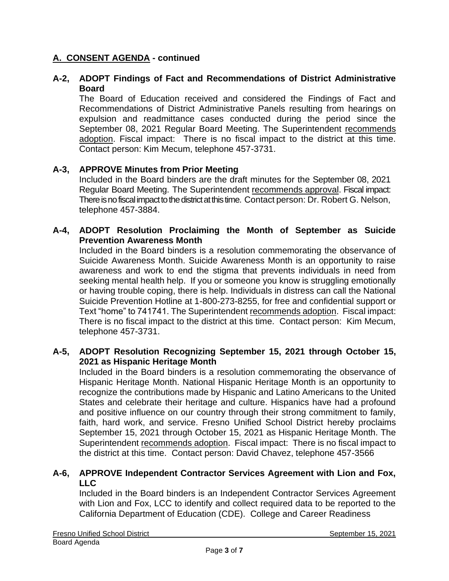# **A. CONSENT AGENDA - continued**

## **A-2, ADOPT Findings of Fact and Recommendations of District Administrative Board**

The Board of Education received and considered the Findings of Fact and Recommendations of District Administrative Panels resulting from hearings on expulsion and readmittance cases conducted during the period since the September 08, 2021 Regular Board Meeting. The Superintendent recommends adoption. Fiscal impact: There is no fiscal impact to the district at this time. Contact person: Kim Mecum, telephone 457-3731.

## **A-3, APPROVE Minutes from Prior Meeting**

Included in the Board binders are the draft minutes for the September 08, 2021 Regular Board Meeting. The Superintendent recommends approval. Fiscal impact: There is no fiscal impact to the district at this time. Contact person: Dr. Robert G. Nelson, telephone 457-3884.

## **A-4, ADOPT Resolution Proclaiming the Month of September as Suicide Prevention Awareness Month**

Included in the Board binders is a resolution commemorating the observance of Suicide Awareness Month. Suicide Awareness Month is an opportunity to raise awareness and work to end the stigma that prevents individuals in need from seeking mental health help. If you or someone you know is struggling emotionally or having trouble coping, there is help. Individuals in distress can call the National Suicide Prevention Hotline at 1-800-273-8255, for free and confidential support or Text "home" to 741741. The Superintendent recommends adoption. Fiscal impact: There is no fiscal impact to the district at this time. Contact person: Kim Mecum, telephone 457-3731.

#### **A-5, ADOPT Resolution Recognizing September 15, 2021 through October 15, 2021 as Hispanic Heritage Month**

Included in the Board binders is a resolution commemorating the observance of Hispanic Heritage Month. National Hispanic Heritage Month is an opportunity to recognize the contributions made by Hispanic and Latino Americans to the United States and celebrate their heritage and culture. Hispanics have had a profound and positive influence on our country through their strong commitment to family, faith, hard work, and service. Fresno Unified School District hereby proclaims September 15, 2021 through October 15, 2021 as Hispanic Heritage Month. The Superintendent recommends adoption. Fiscal impact: There is no fiscal impact to the district at this time. Contact person: David Chavez, telephone 457-3566

## **A-6, APPROVE Independent Contractor Services Agreement with Lion and Fox, LLC**

Included in the Board binders is an Independent Contractor Services Agreement with Lion and Fox, LCC to identify and collect required data to be reported to the California Department of Education (CDE). College and Career Readiness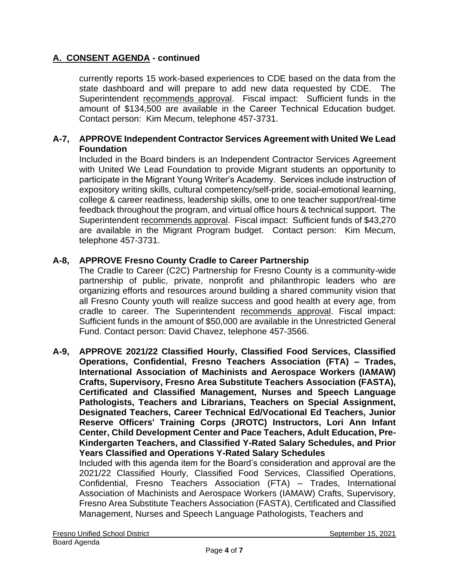# **A. CONSENT AGENDA - continued**

currently reports 15 work-based experiences to CDE based on the data from the state dashboard and will prepare to add new data requested by CDE. The Superintendent recommends approval. Fiscal impact: Sufficient funds in the amount of \$134,500 are available in the Career Technical Education budget. Contact person: Kim Mecum, telephone 457-3731.

## **A-7, APPROVE Independent Contractor Services Agreement with United We Lead Foundation**

Included in the Board binders is an Independent Contractor Services Agreement with United We Lead Foundation to provide Migrant students an opportunity to participate in the Migrant Young Writer's Academy. Services include instruction of expository writing skills, cultural competency/self-pride, social-emotional learning, college & career readiness, leadership skills, one to one teacher support/real-time feedback throughout the program, and virtual office hours & technical support. The Superintendent recommends approval. Fiscal impact: Sufficient funds of \$43,270 are available in the Migrant Program budget. Contact person: Kim Mecum, telephone 457-3731.

## **A-8, APPROVE Fresno County Cradle to Career Partnership**

The Cradle to Career (C2C) Partnership for Fresno County is a community-wide partnership of public, private, nonprofit and philanthropic leaders who are organizing efforts and resources around building a shared community vision that all Fresno County youth will realize success and good health at every age, from cradle to career. The Superintendent recommends approval. Fiscal impact: Sufficient funds in the amount of \$50,000 are available in the Unrestricted General Fund. Contact person: David Chavez, telephone 457-3566.

**A-9, APPROVE 2021/22 Classified Hourly, Classified Food Services, Classified Operations, Confidential, Fresno Teachers Association (FTA) – Trades, International Association of Machinists and Aerospace Workers (IAMAW) Crafts, Supervisory, Fresno Area Substitute Teachers Association (FASTA), Certificated and Classified Management, Nurses and Speech Language Pathologists, Teachers and Librarians, Teachers on Special Assignment, Designated Teachers, Career Technical Ed/Vocational Ed Teachers, Junior Reserve Officers' Training Corps (JROTC) Instructors, Lori Ann Infant Center, Child Development Center and Pace Teachers, Adult Education, Pre-Kindergarten Teachers, and Classified Y-Rated Salary Schedules, and Prior Years Classified and Operations Y-Rated Salary Schedules**

Included with this agenda item for the Board's consideration and approval are the 2021/22 Classified Hourly, Classified Food Services, Classified Operations, Confidential, Fresno Teachers Association (FTA) – Trades, International Association of Machinists and Aerospace Workers (IAMAW) Crafts, Supervisory, Fresno Area Substitute Teachers Association (FASTA), Certificated and Classified Management, Nurses and Speech Language Pathologists, Teachers and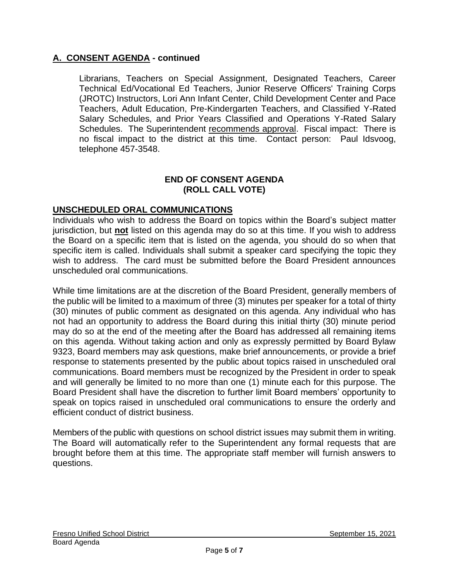# **A. CONSENT AGENDA - continued**

Librarians, Teachers on Special Assignment, Designated Teachers, Career Technical Ed/Vocational Ed Teachers, Junior Reserve Officers' Training Corps (JROTC) Instructors, Lori Ann Infant Center, Child Development Center and Pace Teachers, Adult Education, Pre-Kindergarten Teachers, and Classified Y-Rated Salary Schedules, and Prior Years Classified and Operations Y-Rated Salary Schedules. The Superintendent recommends approval. Fiscal impact: There is no fiscal impact to the district at this time. Contact person: Paul Idsvoog, telephone 457-3548.

#### **END OF CONSENT AGENDA (ROLL CALL VOTE)**

## **UNSCHEDULED ORAL COMMUNICATIONS**

Individuals who wish to address the Board on topics within the Board's subject matter jurisdiction, but **not** listed on this agenda may do so at this time. If you wish to address the Board on a specific item that is listed on the agenda, you should do so when that specific item is called. Individuals shall submit a speaker card specifying the topic they wish to address. The card must be submitted before the Board President announces unscheduled oral communications.

While time limitations are at the discretion of the Board President, generally members of the public will be limited to a maximum of three (3) minutes per speaker for a total of thirty (30) minutes of public comment as designated on this agenda. Any individual who has not had an opportunity to address the Board during this initial thirty (30) minute period may do so at the end of the meeting after the Board has addressed all remaining items on this agenda. Without taking action and only as expressly permitted by Board Bylaw 9323, Board members may ask questions, make brief announcements, or provide a brief response to statements presented by the public about topics raised in unscheduled oral communications. Board members must be recognized by the President in order to speak and will generally be limited to no more than one (1) minute each for this purpose. The Board President shall have the discretion to further limit Board members' opportunity to speak on topics raised in unscheduled oral communications to ensure the orderly and efficient conduct of district business.

Members of the public with questions on school district issues may submit them in writing. The Board will automatically refer to the Superintendent any formal requests that are brought before them at this time. The appropriate staff member will furnish answers to questions.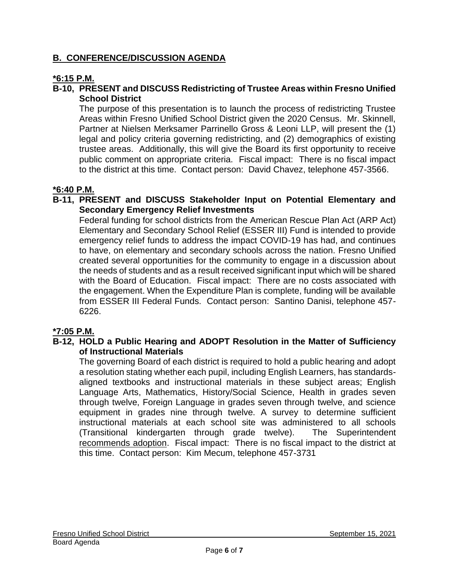# **B. CONFERENCE/DISCUSSION AGENDA**

## **\*6:15 P.M.**

## **B-10, PRESENT and DISCUSS Redistricting of Trustee Areas within Fresno Unified School District**

The purpose of this presentation is to launch the process of redistricting Trustee Areas within Fresno Unified School District given the 2020 Census. Mr. Skinnell, Partner at Nielsen Merksamer Parrinello Gross & Leoni LLP, will present the (1) legal and policy criteria governing redistricting, and (2) demographics of existing trustee areas. Additionally, this will give the Board its first opportunity to receive public comment on appropriate criteria. Fiscal impact: There is no fiscal impact to the district at this time. Contact person: David Chavez, telephone 457-3566.

## **\*6:40 P.M.**

#### **B-11, PRESENT and DISCUSS Stakeholder Input on Potential Elementary and Secondary Emergency Relief Investments**

Federal funding for school districts from the American Rescue Plan Act (ARP Act) Elementary and Secondary School Relief (ESSER III) Fund is intended to provide emergency relief funds to address the impact COVID-19 has had, and continues to have, on elementary and secondary schools across the nation. Fresno Unified created several opportunities for the community to engage in a discussion about the needs of students and as a result received significant input which will be shared with the Board of Education. Fiscal impact: There are no costs associated with the engagement. When the Expenditure Plan is complete, funding will be available from ESSER III Federal Funds. Contact person: Santino Danisi, telephone 457- 6226.

## **\*7:05 P.M.**

## **B-12, HOLD a Public Hearing and ADOPT Resolution in the Matter of Sufficiency of Instructional Materials**

The governing Board of each district is required to hold a public hearing and adopt a resolution stating whether each pupil, including English Learners, has standardsaligned textbooks and instructional materials in these subject areas; English Language Arts, Mathematics, History/Social Science, Health in grades seven through twelve, Foreign Language in grades seven through twelve, and science equipment in grades nine through twelve. A survey to determine sufficient instructional materials at each school site was administered to all schools (Transitional kindergarten through grade twelve). The Superintendent recommends adoption. Fiscal impact: There is no fiscal impact to the district at this time. Contact person: Kim Mecum, telephone 457-3731